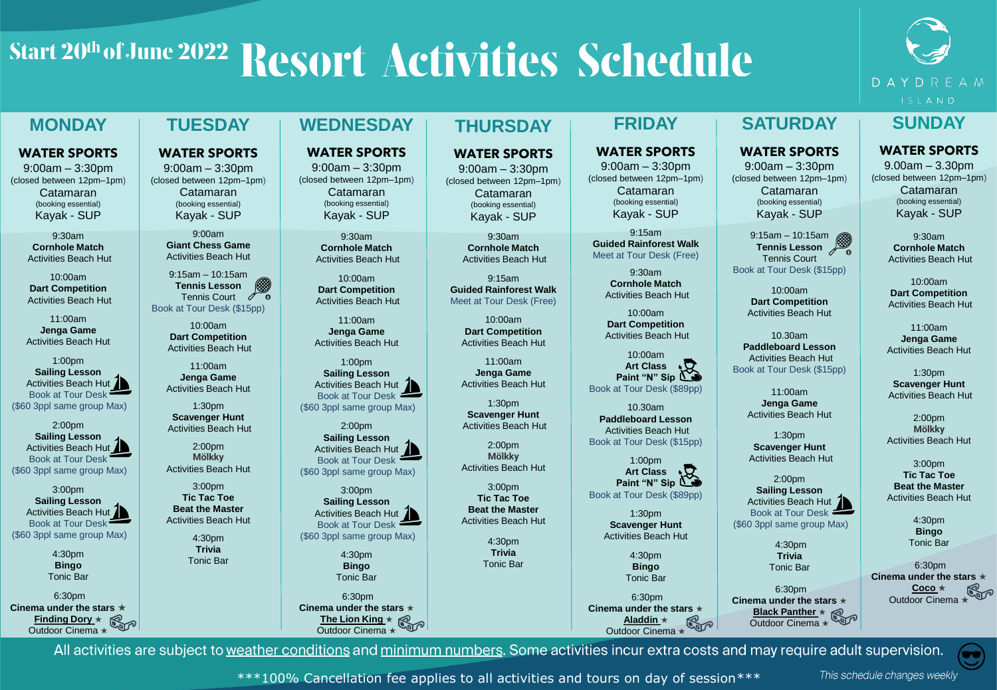# Start 20th of June 2022 Resort Activities Schedule

**WEDNESDAY**

**WATER SPORTS** 9:00am – 3:30pm (closed between 12pm–1pm) Catamaran (booking essential) Kayak - SUP 9:30am **Cornhole Match** Activities Beach Hut 10:00am **Dart Competition** Activities Beach Hut 11:00am **Jenga Game** Activities Beach Hut 1:00pm **Sailing Lesson** Activities Beach Hut 1 Book at Tour Desk (\$60 3ppl same group Max) 2:00pm **Sailing Lesson** Activities Beach Hut 2 Book at Tour Desk (\$60 3ppl same group Max) 3:00pm **Sailing Lesson** Activities Beach Hut 2 Book at Tour Desk (\$60 3ppl same group Max) 4:30pm **Bingo** Tonic Bar

# DAYDREAM ISLAND

## **MONDAY**

### **WATER SPORTS**

9:00am – 3:30pm (closed between 12pm–1pm) Catamaran (booking essential) Kayak - SUP

> 9:30am **Cornhole Match** Activities Beach Hut

10:00am **Dart Competition** Activities Beach Hut

11:00am **Jenga Game** Activities Beach Hut

1:00pm **Sailing Lesson** Activities Beach Hut 2 Book at Tour Desk (\$60 3ppl same group Max)

2:00pm **Sailing Lesson** Activities Beach Hut Book at Tour Desk (\$60 3ppl same group Max)

3:00pm **Sailing Lesson** Activities Beach Hut 1 Book at Tour Desk (\$60 3ppl same group Max)

> 4:30pm **Bingo** Tonic Bar

6:30pm **Cinema under the stars** ★ **Finding Dory** ★ **Finding Dory ★**<br>Outdoor Cinema ★

## **TUESDAY**

**WATER SPORTS** 9:00am – 3:30pm

(closed between 12pm–1pm) Catamaran (booking essential) Kayak - SUP

> 9:00am **Giant Chess Game**  Activities Beach Hut

9:15am – 10:15am **Tennis Lesson** Tennis Court ∥ ᠊ᢆ៙ Book at Tour Desk (\$15pp)

> 10:00am **Dart Competition** Activities Beach Hut

11:00am **Jenga Game** Activities Beach Hut

1:30pm **Scavenger Hunt** Activities Beach Hut

2:00pm **Mölkky** Activities Beach Hut

 $3:00$ pm **Tic Tac Toe Beat the Master** Activities Beach Hut

> 4:30pm **Trivia** Tonic Bar

 $6:30nm$ **Cinema under the stars** ★ **The Lion King** ★

Outdoor Cinema ★

## **THURSDAY**

#### **WATER SPORTS**

9:00am – 3:30pm (closed between 12pm–1pm) Catamaran (booking essential) Kayak - SUP

> 9:30am **Cornhole Match** Activities Beach Hut

9:15am **Guided Rainforest Walk** Meet at Tour Desk (Free)

> 10:00am **Dart Competition** Activities Beach Hut

11:00am **Jenga Game** Activities Beach Hut

1:30pm **Scavenger Hunt** Activities Beach Hut

2:00pm **Mölkky** Activities Beach Hut

3:00pm **Tic Tac Toe Beat the Master** Activities Beach Hut

> 4:30pm **Trivia** Tonic Bar

## **FRIDAY**

#### **WATER SPORTS**

9:00am – 3:30pm (closed between 12pm–1pm) Catamaran (booking essential) Kayak - SUP

9:15am **Guided Rainforest Walk** Meet at Tour Desk (Free)

> 9:30am **Cornhole Match** Activities Beach Hut

10:00am **Dart Competition** Activities Beach Hut

10:00am **Art Class Paint "N" Sip** Book at Tour Desk (\$89pp)

10.30am **Paddleboard Lesson** Activities Beach Hut Book at Tour Desk (\$15pp)

1:00pm **Art Class Paint "N" Sip** Book at Tour Desk (\$89pp)

> 1:30pm **Scavenger Hunt** Activities Beach Hut

> > 4:30pm **Bingo** Tonic Bar

6:30pm **Cinema under the stars** ★ **Aladdin** ★ Outdoor Cinema ★

## **SATURDAY**

**WATER SPORTS**

9:00am – 3:30pm (closed between 12pm–1pm) Catamaran (booking essential) Kayak - SUP

9:15am – 10:15am **Tennis Lesson** Tennis Court Book at Tour Desk (\$15pp)

> 10:00am **Dart Competition** Activities Beach Hut

10.30am **Paddleboard Lesson** Activities Beach Hut Book at Tour Desk (\$15pp)

> 11:00am **Jenga Game** Activities Beach Hut

1:30pm **Scavenger Hunt** Activities Beach Hut

2:00pm **Sailing Lesson** Activities Beach Hut 1 Book at Tour Desk

(\$60 3ppl same group Max) 4:30pm

**Trivia** Tonic Bar 6:30pm **Cinema under the stars** ★

**Black Panther** ★ Outdoor Cinema ★

# **SUNDAY**

#### **WATER SPORTS**

9.00am – 3.30pm (closed between 12pm–1pm) Catamaran (booking essential) Kayak - SUP

> 9:30am **Cornhole Match** Activities Beach Hut

10:00am **Dart Competition** Activities Beach Hut

11:00am **Jenga Game** Activities Beach Hut

1:30pm **Scavenger Hunt** Activities Beach Hut

2:00pm **Mölkky** Activities Beach Hut

3:00pm **Tic Tac Toe Beat the Master** Activities Beach Hut

> 4:30pm **Bingo** Tonic Bar

6:30pm **Cinema under the stars** ★ **Coco** ★ Outdoor Cinema

œ

All activities are subject to weather conditions and minimum numbers. Some activities incur extra costs and may require adult supervision.

\*\*\*100% Cancellation fee applies to all activities and tours on day of session\*\*\*

This schedule changes weekly